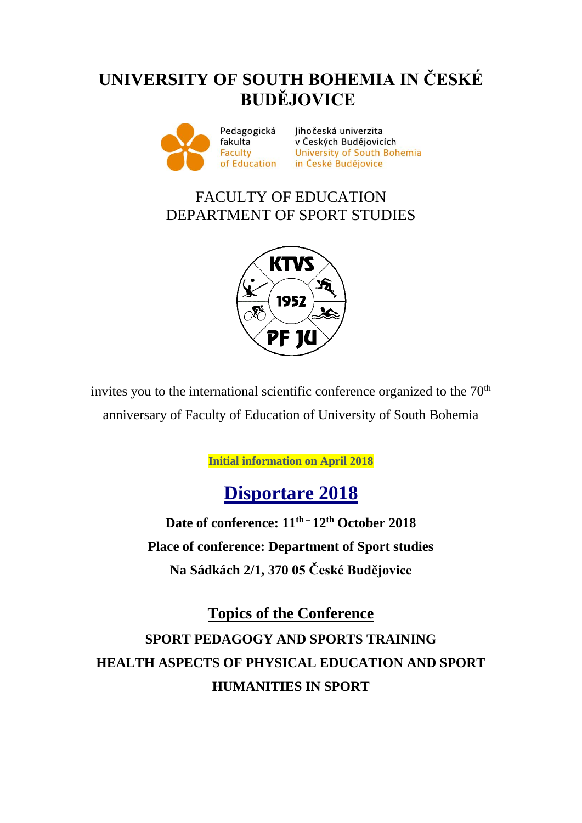## **UNIVERSITY OF SOUTH BOHEMIA IN ČESKÉ BUDĚJOVICE**



Jihočeská univerzita vena<br>
v Českých Budějovicích<br>
University of South Bohemia<br>
tion in České Budějovice of Education in České Budějovice

### FACULTY OF EDUCATION DEPARTMENT OF SPORT STUDIES



invites you to the international scientific conference organized to the  $70<sup>th</sup>$ anniversary of Faculty of Education of University of South Bohemia

**Initial information on April 2018**

# **Disportare 2018**

**Date of conference: 11 th – 12 th October 2018 Place of conference: Department of Sport studies Na Sádkách 2/1, 370 05 České Budějovice**

**Topics of the Conference SPORT PEDAGOGY AND SPORTS TRAINING HEALTH ASPECTS OF PHYSICAL EDUCATION AND SPORT HUMANITIES IN SPORT**